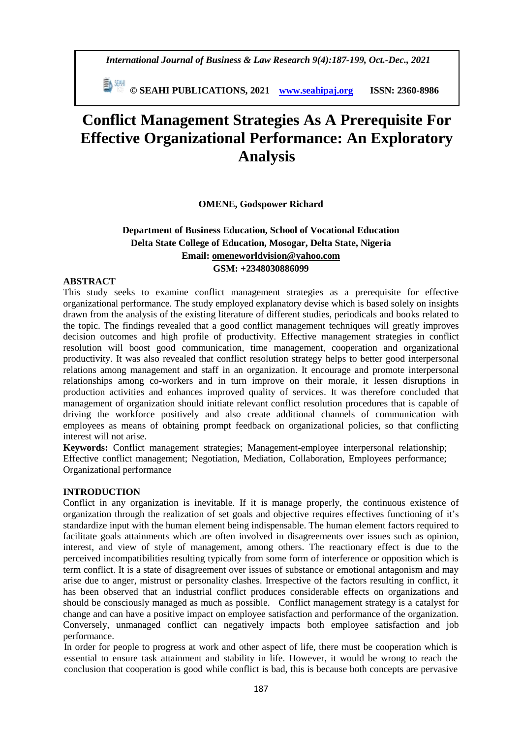*International Journal of Business & Law Research 9(4):187-199, Oct.-Dec., 2021*

 **© SEAHI PUBLICATIONS, 2021 [www.seahipaj.org](http://www.seahipaj.org/) ISSN: 2360-8986**

# **Conflict Management Strategies As A Prerequisite For Effective Organizational Performance: An Exploratory Analysis**

**OMENE, Godspower Richard**

# **Department of Business Education, School of Vocational Education Delta State College of Education, Mosogar, Delta State, Nigeria Email: [omeneworldvision@yahoo.com](mailto:omeneworldvision@yahoo.com) GSM: +2348030886099**

# **ABSTRACT**

This study seeks to examine conflict management strategies as a prerequisite for effective organizational performance. The study employed explanatory devise which is based solely on insights drawn from the analysis of the existing literature of different studies, periodicals and books related to the topic. The findings revealed that a good conflict management techniques will greatly improves decision outcomes and high profile of productivity. Effective management strategies in conflict resolution will boost good communication, time management, cooperation and organizational productivity. It was also revealed that conflict resolution strategy helps to better good interpersonal relations among management and staff in an organization. It encourage and promote interpersonal relationships among co-workers and in turn improve on their morale, it lessen disruptions in production activities and enhances improved quality of services. It was therefore concluded that management of organization should initiate relevant conflict resolution procedures that is capable of driving the workforce positively and also create additional channels of communication with employees as means of obtaining prompt feedback on organizational policies, so that conflicting interest will not arise.

**Keywords:** Conflict management strategies; Management-employee interpersonal relationship; Effective conflict management; Negotiation, Mediation, Collaboration, Employees performance; Organizational performance

### **INTRODUCTION**

Conflict in any organization is inevitable. If it is manage properly, the continuous existence of organization through the realization of set goals and objective requires effectives functioning of it's standardize input with the human element being indispensable. The human element factors required to facilitate goals attainments which are often involved in disagreements over issues such as opinion, interest, and view of style of management, among others. The reactionary effect is due to the perceived incompatibilities resulting typically from some form of interference or opposition which is term conflict. It is a state of disagreement over issues of substance or emotional antagonism and may arise due to anger, mistrust or personality clashes. Irrespective of the factors resulting in conflict, it has been observed that an industrial conflict produces considerable effects on organizations and should be consciously managed as much as possible. Conflict management strategy is a catalyst for change and can have a positive impact on employee satisfaction and performance of the organization. Conversely, unmanaged conflict can negatively impacts both employee satisfaction and job performance.

In order for people to progress at work and other aspect of life, there must be cooperation which is essential to ensure task attainment and stability in life. However, it would be wrong to reach the conclusion that cooperation is good while conflict is bad, this is because both concepts are pervasive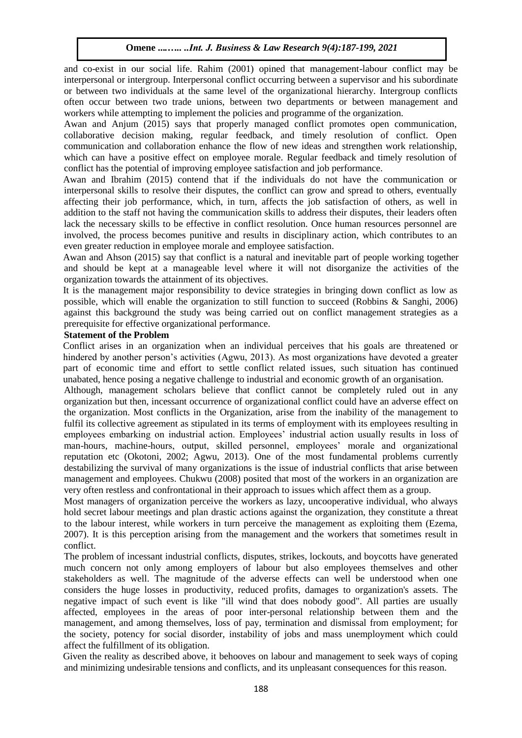and co-exist in our social life. Rahim (2001) opined that management-labour conflict may be interpersonal or intergroup. Interpersonal conflict occurring between a supervisor and his subordinate or between two individuals at the same level of the organizational hierarchy. Intergroup conflicts often occur between two trade unions, between two departments or between management and workers while attempting to implement the policies and programme of the organization.

Awan and Anjum (2015) says that properly managed conflict promotes open communication, collaborative decision making, regular feedback, and timely resolution of conflict. Open communication and collaboration enhance the flow of new ideas and strengthen work relationship, which can have a positive effect on employee morale. Regular feedback and timely resolution of conflict has the potential of improving employee satisfaction and job performance.

Awan and Ibrahim (2015) contend that if the individuals do not have the communication or interpersonal skills to resolve their disputes, the conflict can grow and spread to others, eventually affecting their job performance, which, in turn, affects the job satisfaction of others, as well in addition to the staff not having the communication skills to address their disputes, their leaders often lack the necessary skills to be effective in conflict resolution. Once human resources personnel are involved, the process becomes punitive and results in disciplinary action, which contributes to an even greater reduction in employee morale and employee satisfaction.

Awan and Ahson (2015) say that conflict is a natural and inevitable part of people working together and should be kept at a manageable level where it will not disorganize the activities of the organization towards the attainment of its objectives.

It is the management major responsibility to device strategies in bringing down conflict as low as possible, which will enable the organization to still function to succeed (Robbins & Sanghi, 2006) against this background the study was being carried out on conflict management strategies as a prerequisite for effective organizational performance.

#### **Statement of the Problem**

Conflict arises in an organization when an individual perceives that his goals are threatened or hindered by another person's activities (Agwu, 2013). As most organizations have devoted a greater part of economic time and effort to settle conflict related issues, such situation has continued unabated, hence posing a negative challenge to industrial and economic growth of an organisation.

Although, management scholars believe that conflict cannot be completely ruled out in any organization but then, incessant occurrence of organizational conflict could have an adverse effect on the organization. Most conflicts in the Organization, arise from the inability of the management to fulfil its collective agreement as stipulated in its terms of employment with its employees resulting in employees embarking on industrial action. Employees' industrial action usually results in loss of man-hours, machine-hours, output, skilled personnel, employees' morale and organizational reputation etc (Okotoni, 2002; Agwu, 2013). One of the most fundamental problems currently destabilizing the survival of many organizations is the issue of industrial conflicts that arise between management and employees. Chukwu (2008) posited that most of the workers in an organization are very often restless and confrontational in their approach to issues which affect them as a group.

Most managers of organization perceive the workers as lazy, uncooperative individual, who always hold secret labour meetings and plan drastic actions against the organization, they constitute a threat to the labour interest, while workers in turn perceive the management as exploiting them (Ezema, 2007). It is this perception arising from the management and the workers that sometimes result in conflict.

The problem of incessant industrial conflicts, disputes, strikes, lockouts, and boycotts have generated much concern not only among employers of labour but also employees themselves and other stakeholders as well. The magnitude of the adverse effects can well be understood when one considers the huge losses in productivity, reduced profits, damages to organization's assets. The negative impact of such event is like "ill wind that does nobody good". All parties are usually affected, employees in the areas of poor inter-personal relationship between them and the management, and among themselves, loss of pay, termination and dismissal from employment; for the society, potency for social disorder, instability of jobs and mass unemployment which could affect the fulfillment of its obligation.

Given the reality as described above, it behooves on labour and management to seek ways of coping and minimizing undesirable tensions and conflicts, and its unpleasant consequences for this reason.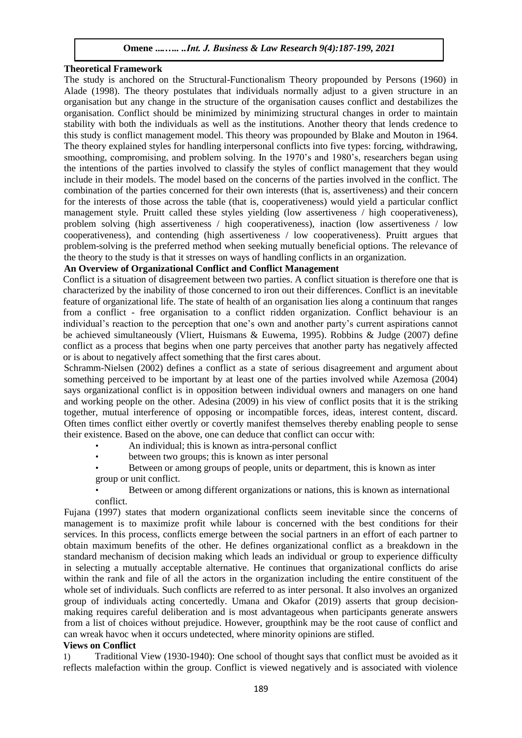# **Theoretical Framework**

The study is anchored on the Structural-Functionalism Theory propounded by Persons (1960) in Alade (1998). The theory postulates that individuals normally adjust to a given structure in an organisation but any change in the structure of the organisation causes conflict and destabilizes the organisation. Conflict should be minimized by minimizing structural changes in order to maintain stability with both the individuals as well as the institutions. Another theory that lends credence to this study is conflict management model. This theory was propounded by Blake and Mouton in 1964. The theory explained styles for handling interpersonal conflicts into five types: forcing, withdrawing, smoothing, compromising, and problem solving. In the 1970's and 1980's, researchers began using the intentions of the parties involved to classify the styles of conflict management that they would include in their models. The model based on the concerns of the parties involved in the conflict. The combination of the parties concerned for their own interests (that is, assertiveness) and their concern for the interests of those across the table (that is, cooperativeness) would yield a particular conflict management style. Pruitt called these styles yielding (low assertiveness / high cooperativeness), problem solving (high assertiveness / high cooperativeness), inaction (low assertiveness / low cooperativeness), and contending (high assertiveness / low cooperativeness). Pruitt argues that problem-solving is the preferred method when seeking mutually beneficial options. The relevance of the theory to the study is that it stresses on ways of handling conflicts in an organization.

# **An Overview of Organizational Conflict and Conflict Management**

Conflict is a situation of disagreement between two parties. A conflict situation is therefore one that is characterized by the inability of those concerned to iron out their differences. Conflict is an inevitable feature of organizational life. The state of health of an organisation lies along a continuum that ranges from a conflict - free organisation to a conflict ridden organization. Conflict behaviour is an individual's reaction to the perception that one's own and another party's current aspirations cannot be achieved simultaneously (Vliert, Huismans & Euwema, 1995). Robbins & Judge (2007) define conflict as a process that begins when one party perceives that another party has negatively affected or is about to negatively affect something that the first cares about.

Schramm-Nielsen (2002) defines a conflict as a state of serious disagreement and argument about something perceived to be important by at least one of the parties involved while Azemosa (2004) says organizational conflict is in opposition between individual owners and managers on one hand and working people on the other. Adesina (2009) in his view of conflict posits that it is the striking together, mutual interference of opposing or incompatible forces, ideas, interest content, discard. Often times conflict either overtly or covertly manifest themselves thereby enabling people to sense their existence. Based on the above, one can deduce that conflict can occur with:

- An individual; this is known as intra-personal conflict
- between two groups; this is known as inter personal
- Between or among groups of people, units or department, this is known as inter group or unit conflict.

• Between or among different organizations or nations, this is known as international conflict.

Fujana (1997) states that modern organizational conflicts seem inevitable since the concerns of management is to maximize profit while labour is concerned with the best conditions for their services. In this process, conflicts emerge between the social partners in an effort of each partner to obtain maximum benefits of the other. He defines organizational conflict as a breakdown in the standard mechanism of decision making which leads an individual or group to experience difficulty in selecting a mutually acceptable alternative. He continues that organizational conflicts do arise within the rank and file of all the actors in the organization including the entire constituent of the whole set of individuals. Such conflicts are referred to as inter personal. It also involves an organized group of individuals acting concertedly. Umana and Okafor (2019) asserts that group decisionmaking requires careful deliberation and is most advantageous when participants generate answers from a list of choices without prejudice. However, groupthink may be the root cause of conflict and can wreak havoc when it occurs undetected, where minority opinions are stifled.

### **Views on Conflict**

1) Traditional View (1930-1940): One school of thought says that conflict must be avoided as it reflects malefaction within the group. Conflict is viewed negatively and is associated with violence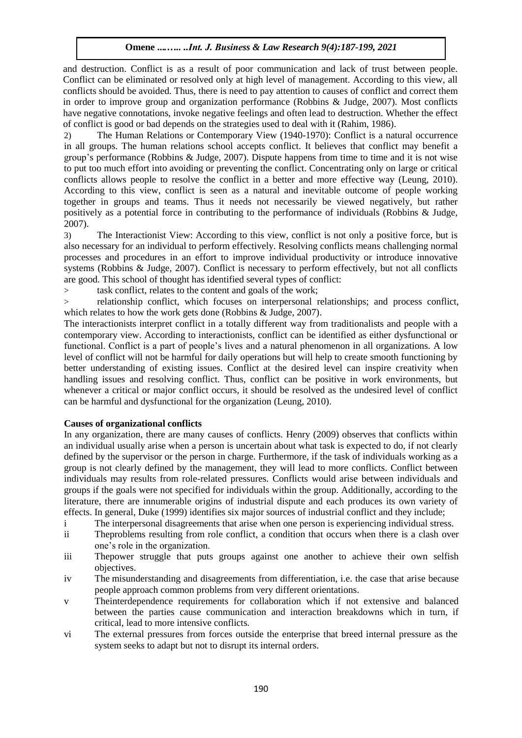and destruction. Conflict is as a result of poor communication and lack of trust between people. Conflict can be eliminated or resolved only at high level of management. According to this view, all conflicts should be avoided. Thus, there is need to pay attention to causes of conflict and correct them in order to improve group and organization performance (Robbins & Judge, 2007). Most conflicts have negative connotations, invoke negative feelings and often lead to destruction. Whether the effect of conflict is good or bad depends on the strategies used to deal with it (Rahim, 1986).

2) The Human Relations or Contemporary View (1940-1970): Conflict is a natural occurrence in all groups. The human relations school accepts conflict. It believes that conflict may benefit a group's performance (Robbins & Judge, 2007). Dispute happens from time to time and it is not wise to put too much effort into avoiding or preventing the conflict. Concentrating only on large or critical conflicts allows people to resolve the conflict in a better and more effective way (Leung, 2010). According to this view, conflict is seen as a natural and inevitable outcome of people working together in groups and teams. Thus it needs not necessarily be viewed negatively, but rather positively as a potential force in contributing to the performance of individuals (Robbins & Judge, 2007).

3) The Interactionist View: According to this view, conflict is not only a positive force, but is also necessary for an individual to perform effectively. Resolving conflicts means challenging normal processes and procedures in an effort to improve individual productivity or introduce innovative systems (Robbins & Judge, 2007). Conflict is necessary to perform effectively, but not all conflicts are good. This school of thought has identified several types of conflict:

> task conflict, relates to the content and goals of the work;

> relationship conflict, which focuses on interpersonal relationships; and process conflict, which relates to how the work gets done (Robbins & Judge, 2007).

The interactionists interpret conflict in a totally different way from traditionalists and people with a contemporary view. According to interactionists, conflict can be identified as either dysfunctional or functional. Conflict is a part of people's lives and a natural phenomenon in all organizations. A low level of conflict will not be harmful for daily operations but will help to create smooth functioning by better understanding of existing issues. Conflict at the desired level can inspire creativity when handling issues and resolving conflict. Thus, conflict can be positive in work environments, but whenever a critical or major conflict occurs, it should be resolved as the undesired level of conflict can be harmful and dysfunctional for the organization (Leung, 2010).

# **Causes of organizational conflicts**

In any organization, there are many causes of conflicts. Henry (2009) observes that conflicts within an individual usually arise when a person is uncertain about what task is expected to do, if not clearly defined by the supervisor or the person in charge. Furthermore, if the task of individuals working as a group is not clearly defined by the management, they will lead to more conflicts. Conflict between individuals may results from role-related pressures. Conflicts would arise between individuals and groups if the goals were not specified for individuals within the group. Additionally, according to the literature, there are innumerable origins of industrial dispute and each produces its own variety of effects. In general, Duke (1999) identifies six major sources of industrial conflict and they include;

- i The interpersonal disagreements that arise when one person is experiencing individual stress.
- ii Theproblems resulting from role conflict, a condition that occurs when there is a clash over one's role in the organization.
- iii Thepower struggle that puts groups against one another to achieve their own selfish objectives.
- iv The misunderstanding and disagreements from differentiation, i.e. the case that arise because people approach common problems from very different orientations.
- v Theinterdependence requirements for collaboration which if not extensive and balanced between the parties cause communication and interaction breakdowns which in turn, if critical, lead to more intensive conflicts.
- vi The external pressures from forces outside the enterprise that breed internal pressure as the system seeks to adapt but not to disrupt its internal orders.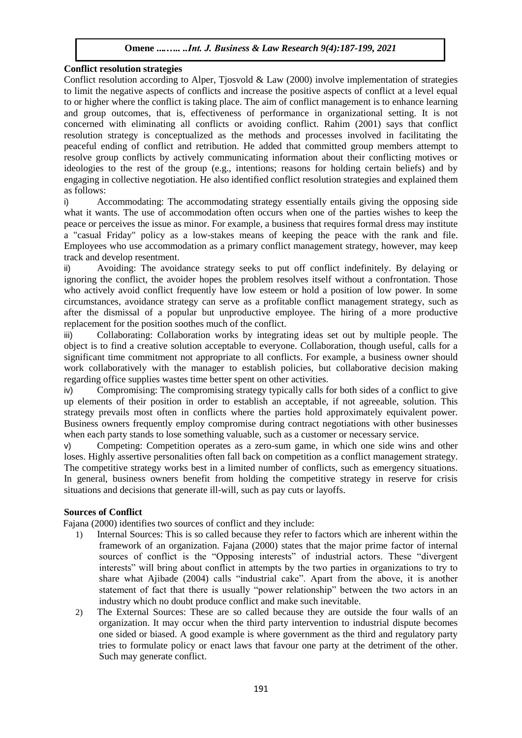# **Conflict resolution strategies**

Conflict resolution according to Alper, Tjosvold & Law (2000) involve implementation of strategies to limit the negative aspects of conflicts and increase the positive aspects of conflict at a level equal to or higher where the conflict is taking place. The aim of conflict management is to enhance learning and group outcomes, that is, effectiveness of performance in organizational setting. It is not concerned with eliminating all conflicts or avoiding conflict. Rahim (2001) says that conflict resolution strategy is conceptualized as the methods and processes involved in facilitating the peaceful ending of [conflict a](https://en.wikipedia.org/wiki/Conflict_(process))nd [retribution.](https://en.wikipedia.org/wiki/Retribution_(disambiguation)) He added that committed group members attempt to resolve group conflicts by actively communicating information about their conflicting motives or ideologies to the rest of the group (e.g., intentions; reasons for holding certain beliefs) and by engaging in collective [negotiation.](https://en.wikipedia.org/wiki/Negotiation) He also identified conflict resolution strategies and explained them as follows:

i) Accommodating: The accommodating strategy essentially entails giving the opposing side what it wants. The use of accommodation often occurs when one of the parties wishes to keep the peace or perceives the issue as minor. For example, a business that requires formal dress may institute a "casual Friday" policy as a low-stakes means of keeping the peace with the rank and file. Employees who use accommodation as a primary conflict management strategy, however, may keep track and develop resentment.

ii) Avoiding: The avoidance strategy seeks to put off conflict indefinitely. By delaying or ignoring the conflict, the avoider hopes the problem resolves itself without a confrontation. Those who actively avoid conflict frequently have low esteem or hold a position of low power. In some circumstances, avoidance strategy can serve as a profitable conflict management strategy, such as after the dismissal of a popular but unproductive employee. The hiring of a more productive replacement for the position soothes much of the conflict.

iii) Collaborating: Collaboration works by integrating ideas set out by multiple people. The object is to find a creative solution acceptable to everyone. Collaboration, though useful, calls for a significant time commitment not appropriate to all conflicts. For example, a business owner should work collaboratively with the manager to establish policies, but collaborative decision making regarding office supplies wastes time better spent on other activities.

iv) Compromising: The compromising strategy typically calls for both sides of a conflict to give up elements of their position in order to establish an acceptable, if not agreeable, solution. This strategy prevails most often in conflicts where the parties hold approximately equivalent power. Business owners frequently employ compromise during contract negotiations with other businesses when each party stands to lose something valuable, such as a customer or necessary service.

v) Competing: Competition operates as a zero-sum game, in which one side wins and other loses. Highly assertive personalities often fall back on competition as a conflict management strategy. The competitive strategy works best in a limited number of conflicts, such as emergency situations. In general, business owners benefit from holding the competitive strategy in reserve for crisis situations and decisions that generate ill-will, such as pay cuts or layoffs.

# **Sources of Conflict**

Fajana (2000) identifies two sources of conflict and they include:

- 1) Internal Sources: This is so called because they refer to factors which are inherent within the framework of an organization. Fajana (2000) states that the major prime factor of internal sources of conflict is the "Opposing interests" of industrial actors. These "divergent interests" will bring about conflict in attempts by the two parties in organizations to try to share what Ajibade (2004) calls "industrial cake". Apart from the above, it is another statement of fact that there is usually "power relationship" between the two actors in an industry which no doubt produce conflict and make such inevitable.
- 2) The External Sources: These are so called because they are outside the four walls of an organization. It may occur when the third party intervention to industrial dispute becomes one sided or biased. A good example is where government as the third and regulatory party tries to formulate policy or enact laws that favour one party at the detriment of the other. Such may generate conflict.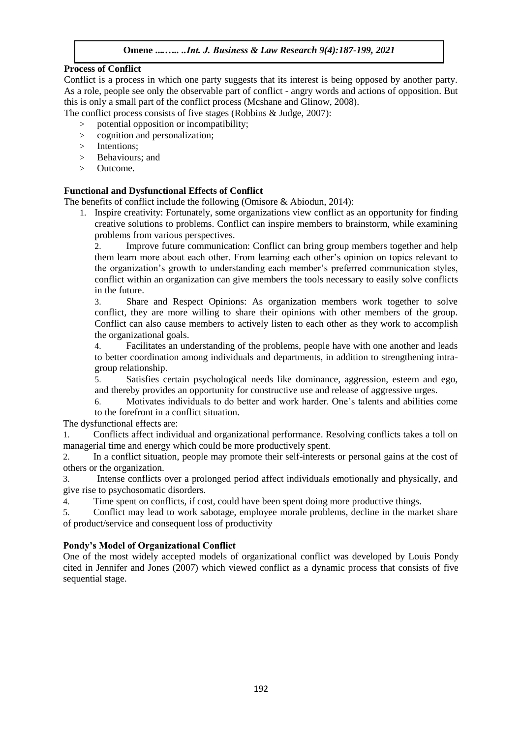# **Process of Conflict**

Conflict is a process in which one party suggests that its interest is being opposed by another party. As a role, people see only the observable part of conflict - angry words and actions of opposition. But this is only a small part of the conflict process (Mcshane and Glinow, 2008).

The conflict process consists of five stages (Robbins & Judge, 2007):

- > potential opposition or incompatibility;
- > cognition and personalization;
- > Intentions;
- > Behaviours; and
- > Outcome.

# **Functional and Dysfunctional Effects of Conflict**

The benefits of conflict include the following (Omisore & Abiodun, 2014):

1. Inspire creativity: Fortunately, some organizations view conflict as an opportunity for finding creative solutions to problems. Conflict can inspire members to brainstorm, while examining problems from various perspectives.

2. Improve future communication: Conflict can bring group members together and help them learn more about each other. From learning each other's opinion on topics relevant to the organization's growth to understanding each member's preferred communication styles, conflict within an organization can give members the tools necessary to easily solve conflicts in the future.

3. Share and Respect Opinions: As organization members work together to solve conflict, they are more willing to share their opinions with other members of the group. Conflict can also cause members to actively listen to each other as they work to accomplish the organizational goals.

4. Facilitates an understanding of the problems, people have with one another and leads to better coordination among individuals and departments, in addition to strengthening intragroup relationship.

5. Satisfies certain psychological needs like dominance, aggression, esteem and ego, and thereby provides an opportunity for constructive use and release of aggressive urges.

6. Motivates individuals to do better and work harder. One's talents and abilities come to the forefront in a conflict situation.

The dysfunctional effects are:

1. Conflicts affect individual and organizational performance. Resolving conflicts takes a toll on managerial time and energy which could be more productively spent.

2. In a conflict situation, people may promote their self-interests or personal gains at the cost of others or the organization.

3. Intense conflicts over a prolonged period affect individuals emotionally and physically, and give rise to psychosomatic disorders.

4. Time spent on conflicts, if cost, could have been spent doing more productive things.

5. Conflict may lead to work sabotage, employee morale problems, decline in the market share of product/service and consequent loss of productivity

### **Pondy's Model of Organizational Conflict**

One of the most widely accepted models of organizational conflict was developed by Louis Pondy cited in Jennifer and Jones (2007) which viewed conflict as a dynamic process that consists of five sequential stage.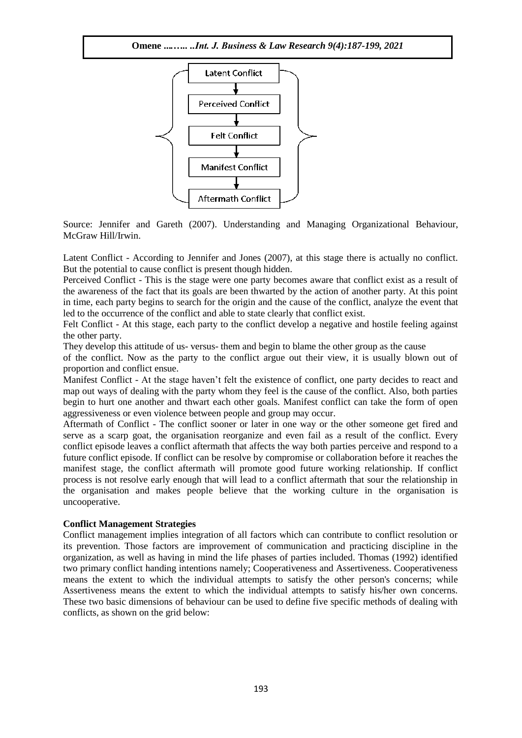

Source: Jennifer and Gareth (2007). Understanding and Managing Organizational Behaviour, McGraw Hill/Irwin.

Latent Conflict - According to Jennifer and Jones (2007), at this stage there is actually no conflict. But the potential to cause conflict is present though hidden.

Perceived Conflict - This is the stage were one party becomes aware that conflict exist as a result of the awareness of the fact that its goals are been thwarted by the action of another party. At this point in time, each party begins to search for the origin and the cause of the conflict, analyze the event that led to the occurrence of the conflict and able to state clearly that conflict exist.

Felt Conflict - At this stage, each party to the conflict develop a negative and hostile feeling against the other party.

They develop this attitude of us- versus- them and begin to blame the other group as the cause

of the conflict. Now as the party to the conflict argue out their view, it is usually blown out of proportion and conflict ensue.

Manifest Conflict - At the stage haven't felt the existence of conflict, one party decides to react and map out ways of dealing with the party whom they feel is the cause of the conflict. Also, both parties begin to hurt one another and thwart each other goals. Manifest conflict can take the form of open aggressiveness or even violence between people and group may occur.

Aftermath of Conflict - The conflict sooner or later in one way or the other someone get fired and serve as a scarp goat, the organisation reorganize and even fail as a result of the conflict. Every conflict episode leaves a conflict aftermath that affects the way both parties perceive and respond to a future conflict episode. If conflict can be resolve by compromise or collaboration before it reaches the manifest stage, the conflict aftermath will promote good future working relationship. If conflict process is not resolve early enough that will lead to a conflict aftermath that sour the relationship in the organisation and makes people believe that the working culture in the organisation is uncooperative.

### **Conflict Management Strategies**

Conflict management implies integration of all factors which can contribute to conflict resolution or its prevention. Those factors are improvement of communication and practicing discipline in the organization, as well as having in mind the life phases of parties included. Thomas (1992) identified two primary conflict handing intentions namely; Cooperativeness and Assertiveness. Cooperativeness means the extent to which the individual attempts to satisfy the other person's concerns; while Assertiveness means the extent to which the individual attempts to satisfy his/her own concerns. These two basic dimensions of behaviour can be used to define five specific methods of dealing with conflicts, as shown on the grid below: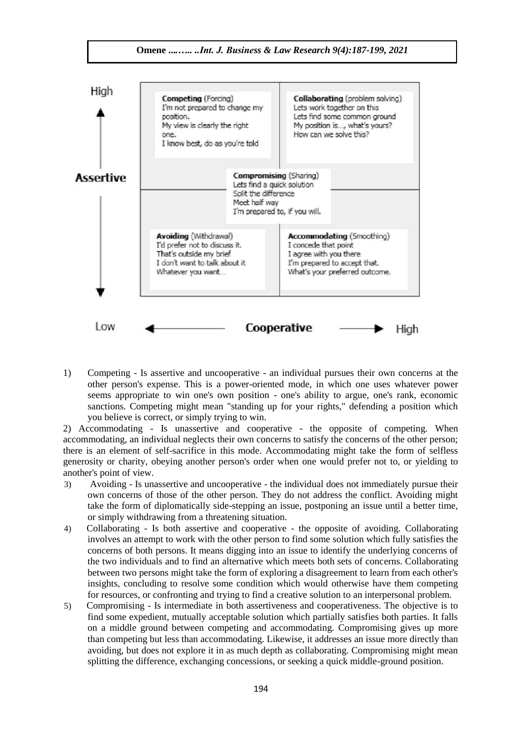

1) Competing - Is assertive and uncooperative - an individual pursues their own concerns at the other person's expense. This is a power-oriented mode, in which one uses whatever power seems appropriate to win one's own position - one's ability to argue, one's rank, economic sanctions. Competing might mean "standing up for your rights," defending a position which you believe is correct, or simply trying to win.

2) Accommodating - Is unassertive and cooperative - the opposite of competing. When accommodating, an individual neglects their own concerns to satisfy the concerns of the other person; there is an element of self-sacrifice in this mode. Accommodating might take the form of selfless generosity or charity, obeying another person's order when one would prefer not to, or yielding to another's point of view.

- 3) Avoiding Is unassertive and uncooperative the individual does not immediately pursue their own concerns of those of the other person. They do not address the conflict. Avoiding might take the form of diplomatically side-stepping an issue, postponing an issue until a better time, or simply withdrawing from a threatening situation.
- 4) Collaborating Is both assertive and cooperative the opposite of avoiding. Collaborating involves an attempt to work with the other person to find some solution which fully satisfies the concerns of both persons. It means digging into an issue to identify the underlying concerns of the two individuals and to find an alternative which meets both sets of concerns. Collaborating between two persons might take the form of exploring a disagreement to learn from each other's insights, concluding to resolve some condition which would otherwise have them competing for resources, or confronting and trying to find a creative solution to an interpersonal problem.
- 5) Compromising Is intermediate in both assertiveness and cooperativeness. The objective is to find some expedient, mutually acceptable solution which partially satisfies both parties. It falls on a middle ground between competing and accommodating. Compromising gives up more than competing but less than accommodating. Likewise, it addresses an issue more directly than avoiding, but does not explore it in as much depth as collaborating. Compromising might mean splitting the difference, exchanging concessions, or seeking a quick middle-ground position.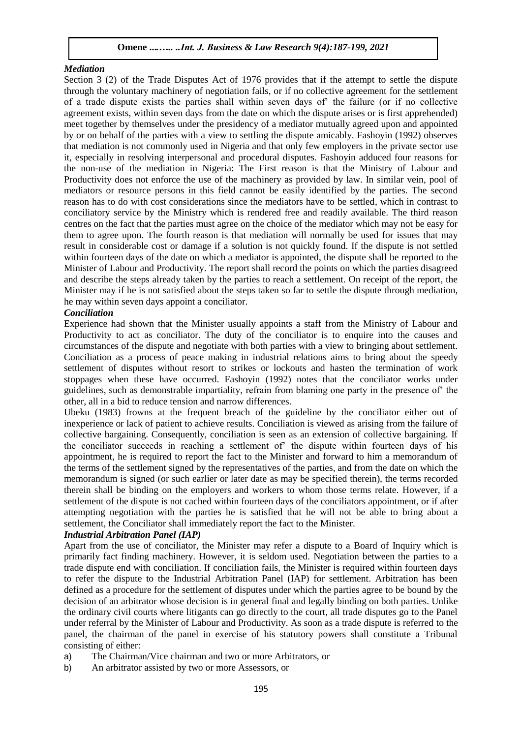#### *Mediation*

Section 3 (2) of the Trade Disputes Act of 1976 provides that if the attempt to settle the dispute through the voluntary machinery of negotiation fails, or if no collective agreement for the settlement of a trade dispute exists the parties shall within seven days of' the failure (or if no collective agreement exists, within seven days from the date on which the dispute arises or is first apprehended) meet together by themselves under the presidency of a mediator mutually agreed upon and appointed by or on behalf of the parties with a view to settling the dispute amicably. Fashoyin (1992) observes that mediation is not commonly used in Nigeria and that only few employers in the private sector use it, especially in resolving interpersonal and procedural disputes. Fashoyin adduced four reasons for the non-use of the mediation in Nigeria: The First reason is that the Ministry of Labour and Productivity does not enforce the use of the machinery as provided by law. In similar vein, pool of mediators or resource persons in this field cannot be easily identified by the parties. The second reason has to do with cost considerations since the mediators have to be settled, which in contrast to conciliatory service by the Ministry which is rendered free and readily available. The third reason centres on the fact that the parties must agree on the choice of the mediator which may not be easy for them to agree upon. The fourth reason is that mediation will normally be used for issues that may result in considerable cost or damage if a solution is not quickly found. If the dispute is not settled within fourteen days of the date on which a mediator is appointed, the dispute shall be reported to the Minister of Labour and Productivity. The report shall record the points on which the parties disagreed and describe the steps already taken by the parties to reach a settlement. On receipt of the report, the Minister may if he is not satisfied about the steps taken so far to settle the dispute through mediation, he may within seven days appoint a conciliator.

#### *Conciliation*

Experience had shown that the Minister usually appoints a staff from the Ministry of Labour and Productivity to act as conciliator. The duty of the conciliator is to enquire into the causes and circumstances of the dispute and negotiate with both parties with a view to bringing about settlement. Conciliation as a process of peace making in industrial relations aims to bring about the speedy settlement of disputes without resort to strikes or lockouts and hasten the termination of work stoppages when these have occurred. Fashoyin (1992) notes that the conciliator works under guidelines, such as demonstrable impartiality, refrain from blaming one party in the presence of' the other, all in a bid to reduce tension and narrow differences.

Ubeku (1983) frowns at the frequent breach of the guideline by the conciliator either out of inexperience or lack of patient to achieve results. Conciliation is viewed as arising from the failure of collective bargaining. Consequently, conciliation is seen as an extension of collective bargaining. If the conciliator succeeds in reaching a settlement of' the dispute within fourteen days of his appointment, he is required to report the fact to the Minister and forward to him a memorandum of the terms of the settlement signed by the representatives of the parties, and from the date on which the memorandum is signed (or such earlier or later date as may be specified therein), the terms recorded therein shall be binding on the employers and workers to whom those terms relate. However, if a settlement of the dispute is not cached within fourteen days of the conciliators appointment, or if after attempting negotiation with the parties he is satisfied that he will not be able to bring about a settlement, the Conciliator shall immediately report the fact to the Minister.

### *Industrial Arbitration Panel (IAP)*

Apart from the use of conciliator, the Minister may refer a dispute to a Board of Inquiry which is primarily fact finding machinery. However, it is seldom used. Negotiation between the parties to a trade dispute end with conciliation. If conciliation fails, the Minister is required within fourteen days to refer the dispute to the Industrial Arbitration Panel (IAP) for settlement. Arbitration has been defined as a procedure for the settlement of disputes under which the parties agree to be bound by the decision of an arbitrator whose decision is in general final and legally binding on both parties. Unlike the ordinary civil courts where litigants can go directly to the court, all trade disputes go to the Panel under referral by the Minister of Labour and Productivity. As soon as a trade dispute is referred to the panel, the chairman of the panel in exercise of his statutory powers shall constitute a Tribunal consisting of either:

- a) The Chairman/Vice chairman and two or more Arbitrators, or
- b) An arbitrator assisted by two or more Assessors, or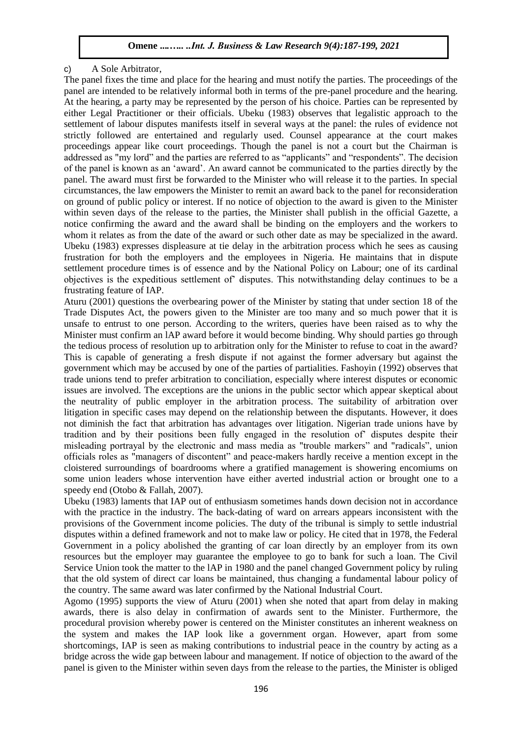# c) A Sole Arbitrator,

The panel fixes the time and place for the hearing and must notify the parties. The proceedings of the panel are intended to be relatively informal both in terms of the pre-panel procedure and the hearing. At the hearing, a party may be represented by the person of his choice. Parties can be represented by either Legal Practitioner or their officials. Ubeku (1983) observes that legalistic approach to the settlement of labour disputes manifests itself in several ways at the panel: the rules of evidence not strictly followed are entertained and regularly used. Counsel appearance at the court makes proceedings appear like court proceedings. Though the panel is not a court but the Chairman is addressed as "my lord" and the parties are referred to as "applicants" and "respondents". The decision of the panel is known as an 'award'. An award cannot be communicated to the parties directly by the panel. The award must first be forwarded to the Minister who will release it to the parties. In special circumstances, the law empowers the Minister to remit an award back to the panel for reconsideration on ground of public policy or interest. If no notice of objection to the award is given to the Minister within seven days of the release to the parties, the Minister shall publish in the official Gazette, a notice confirming the award and the award shall be binding on the employers and the workers to whom it relates as from the date of the award or such other date as may be specialized in the award. Ubeku (1983) expresses displeasure at tie delay in the arbitration process which he sees as causing frustration for both the employers and the employees in Nigeria. He maintains that in dispute settlement procedure times is of essence and by the National Policy on Labour; one of its cardinal objectives is the expeditious settlement of' disputes. This notwithstanding delay continues to be a frustrating feature of IAP.

Aturu (2001) questions the overbearing power of the Minister by stating that under section 18 of the Trade Disputes Act, the powers given to the Minister are too many and so much power that it is unsafe to entrust to one person. According to the writers, queries have been raised as to why the Minister must confirm an lAP award before it would become binding. Why should parties go through the tedious process of resolution up to arbitration only for the Minister to refuse to coat in the award? This is capable of generating a fresh dispute if not against the former adversary but against the government which may be accused by one of the parties of partialities. Fashoyin (1992) observes that trade unions tend to prefer arbitration to conciliation, especially where interest disputes or economic issues are involved. The exceptions are the unions in the public sector which appear skeptical about the neutrality of public employer in the arbitration process. The suitability of arbitration over litigation in specific cases may depend on the relationship between the disputants. However, it does not diminish the fact that arbitration has advantages over litigation. Nigerian trade unions have by tradition and by their positions been fully engaged in the resolution of' disputes despite their misleading portrayal by the electronic and mass media as "trouble markers" and "radicals", union officials roles as "managers of discontent" and peace-makers hardly receive a mention except in the cloistered surroundings of boardrooms where a gratified management is showering encomiums on some union leaders whose intervention have either averted industrial action or brought one to a speedy end (Otobo & Fallah, 2007).

Ubeku (1983) laments that IAP out of enthusiasm sometimes hands down decision not in accordance with the practice in the industry. The back-dating of ward on arrears appears inconsistent with the provisions of the Government income policies. The duty of the tribunal is simply to settle industrial disputes within a defined framework and not to make law or policy. He cited that in 1978, the Federal Government in a policy abolished the granting of car loan directly by an employer from its own resources but the employer may guarantee the employee to go to bank for such a loan. The Civil Service Union took the matter to the lAP in 1980 and the panel changed Government policy by ruling that the old system of direct car loans be maintained, thus changing a fundamental labour policy of the country. The same award was later confirmed by the National Industrial Court.

Agomo (1995) supports the view of Aturu (2001) when she noted that apart from delay in making awards, there is also delay in confirmation of awards sent to the Minister. Furthermore, the procedural provision whereby power is centered on the Minister constitutes an inherent weakness on the system and makes the IAP look like a government organ. However, apart from some shortcomings, IAP is seen as making contributions to industrial peace in the country by acting as a bridge across the wide gap between labour and management. If notice of objection to the award of the panel is given to the Minister within seven days from the release to the parties, the Minister is obliged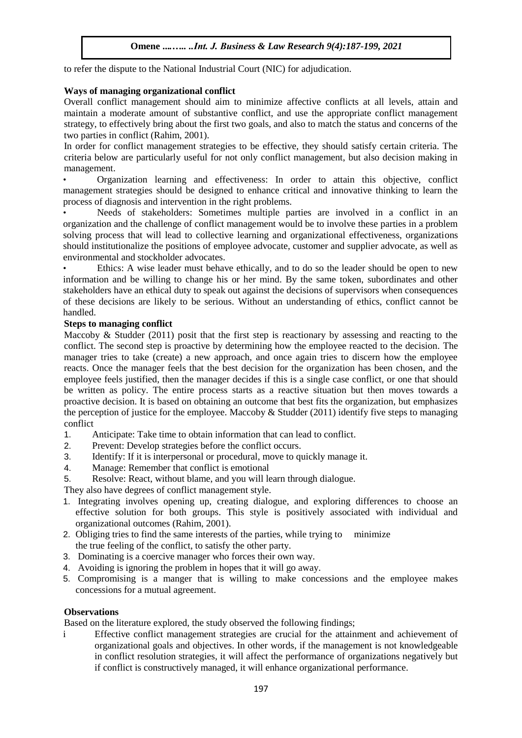to refer the dispute to the National Industrial Court (NIC) for adjudication.

# **Ways of managing organizational conflict**

Overall conflict management should aim to minimize affective conflicts at all levels, attain and maintain a moderate amount of substantive conflict, and use the appropriate conflict management strategy, to effectively bring about the first two goals, and also to match the status and concerns of the two parties in conflict (Rahim, 2001).

In order for conflict management strategies to be effective, they should satisfy certain criteria. The criteria below are particularly useful for not only conflict management, but also decision making in management.

• Organization learning and effectiveness: In order to attain this objective, conflict management strategies should be designed to enhance critical and innovative thinking to learn the process of diagnosis and intervention in the right problems.

• Needs of stakeholders: Sometimes multiple parties are involved in a conflict in an organization and the challenge of conflict management would be to involve these parties in a problem solving process that will lead to collective learning and organizational effectiveness, organizations should institutionalize the positions of employee advocate, customer and supplier advocate, as well as environmental and stockholder advocates.

Ethics: A wise leader must behave ethically, and to do so the leader should be open to new information and be willing to change his or her mind. By the same token, subordinates and other stakeholders have an ethical duty to speak out against the decisions of supervisors when consequences of these decisions are likely to be serious. Without an understanding of ethics, conflict cannot be handled.

# **Steps to managing conflict**

Maccoby & Studder (2011) posit that the first step is reactionary by assessing and reacting to the conflict. The second step is proactive by determining how the employee reacted to the decision. The manager tries to take (create) a new approach, and once again tries to discern how the employee reacts. Once the manager feels that the best decision for the organization has been chosen, and the employee feels justified, then the manager decides if this is a single case conflict, or one that should be written as policy. The entire process starts as a reactive situation but then moves towards a proactive decision. It is based on obtaining an outcome that best fits the organization, but emphasizes the perception of justice for the employee. Maccoby  $&$  Studder (2011) identify five steps to managing conflict

- 1. Anticipate: Take time to obtain information that can lead to conflict.
- 2. Prevent: Develop strategies before the conflict occurs.
- 3. Identify: If it is interpersonal or procedural, move to quickly manage it.
- 4. Manage: Remember that conflict is emotional
- 5. Resolve: React, without blame, and you will learn through dialogue.

They also have degrees of conflict management style.

- 1. Integrating involves opening up, creating dialogue, and exploring differences to choose an effective solution for both groups. This style is positively associated with individual and organizational outcomes (Rahim, 2001).
- 2. Obliging tries to find the same interests of the parties, while trying to minimize the true feeling of the conflict, to satisfy the other party.
- 3. Dominating is a coercive manager who forces their own way.
- 4. Avoiding is ignoring the problem in hopes that it will go away.
- 5. Compromising is a manger that is willing to make concessions and the employee makes concessions for a mutual agreement.

### **Observations**

Based on the literature explored, the study observed the following findings;

i Effective conflict management strategies are crucial for the attainment and achievement of organizational goals and objectives. In other words, if the management is not knowledgeable in conflict resolution strategies, it will affect the performance of organizations negatively but if conflict is constructively managed, it will enhance organizational performance.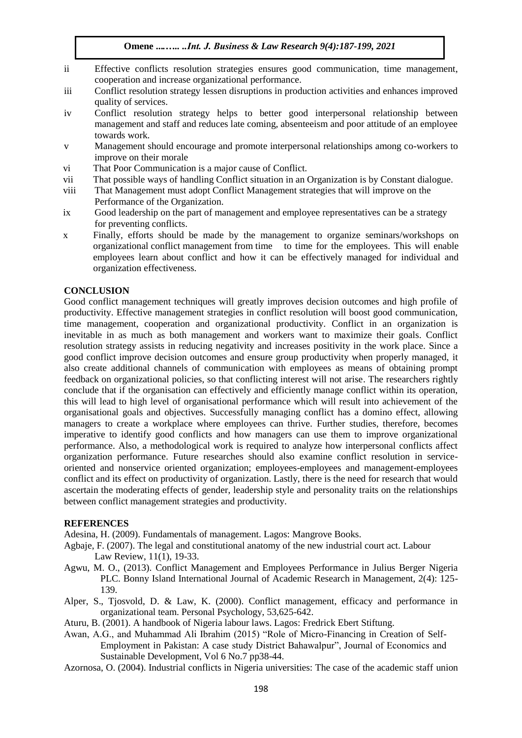- ii Effective conflicts resolution strategies ensures good communication, time management, cooperation and increase organizational performance.
- iii Conflict resolution strategy lessen disruptions in production activities and enhances improved quality of services.
- iv Conflict resolution strategy helps to better good interpersonal relationship between management and staff and reduces late coming, absenteeism and poor attitude of an employee towards work.
- v Management should encourage and promote interpersonal relationships among co-workers to improve on their morale
- vi That Poor Communication is a major cause of Conflict.
- vii That possible ways of handling Conflict situation in an Organization is by Constant dialogue.
- viii That Management must adopt Conflict Management strategies that will improve on the Performance of the Organization.
- ix Good leadership on the part of management and employee representatives can be a strategy for preventing conflicts.
- x Finally, efforts should be made by the management to organize seminars/workshops on organizational conflict management from time to time for the employees. This will enable employees learn about conflict and how it can be effectively managed for individual and organization effectiveness.

### **CONCLUSION**

Good conflict management techniques will greatly improves decision outcomes and high profile of productivity. Effective management strategies in conflict resolution will boost good communication, time management, cooperation and organizational productivity. Conflict in an organization is inevitable in as much as both management and workers want to maximize their goals. Conflict resolution strategy assists in reducing negativity and increases positivity in the work place. Since a good conflict improve decision outcomes and ensure group productivity when properly managed, it also create additional channels of communication with employees as means of obtaining prompt feedback on organizational policies, so that conflicting interest will not arise. The researchers rightly conclude that if the organisation can effectively and efficiently manage conflict within its operation, this will lead to high level of organisational performance which will result into achievement of the organisational goals and objectives. Successfully managing conflict has a domino effect, allowing managers to create a workplace where employees can thrive. Further studies, therefore, becomes imperative to identify good conflicts and how managers can use them to improve organizational performance. Also, a methodological work is required to analyze how interpersonal conflicts affect organization performance. Future researches should also examine conflict resolution in serviceoriented and nonservice oriented organization; employees-employees and management-employees conflict and its effect on productivity of organization. Lastly, there is the need for research that would ascertain the moderating effects of gender, leadership style and personality traits on the relationships between conflict management strategies and productivity.

#### **REFERENCES**

Adesina, H. (2009). Fundamentals of management. Lagos: Mangrove Books.

- Agbaje, F. (2007). The legal and constitutional anatomy of the new industrial court act. Labour Law Review, 11(1), 19-33.
- Agwu, M. O., (2013). Conflict Management and Employees Performance in Julius Berger Nigeria PLC. Bonny Island International Journal of Academic Research in Management, 2(4): 125- 139.
- Alper, S., Tjosvold, D. & Law, K. (2000). Conflict management, efficacy and performance in organizational team. Personal Psychology, 53,625-642.
- Aturu, B. (2001). A handbook of Nigeria labour laws. Lagos: Fredrick Ebert Stiftung.
- Awan, A.G., and Muhammad Ali Ibrahim (2015) "Role of Micro-Financing in Creation of Self-Employment in Pakistan: A case study District Bahawalpur", Journal of Economics and Sustainable Development, Vol 6 No.7 pp38-44.
- Azornosa, O. (2004). Industrial conflicts in Nigeria universities: The case of the academic staff union